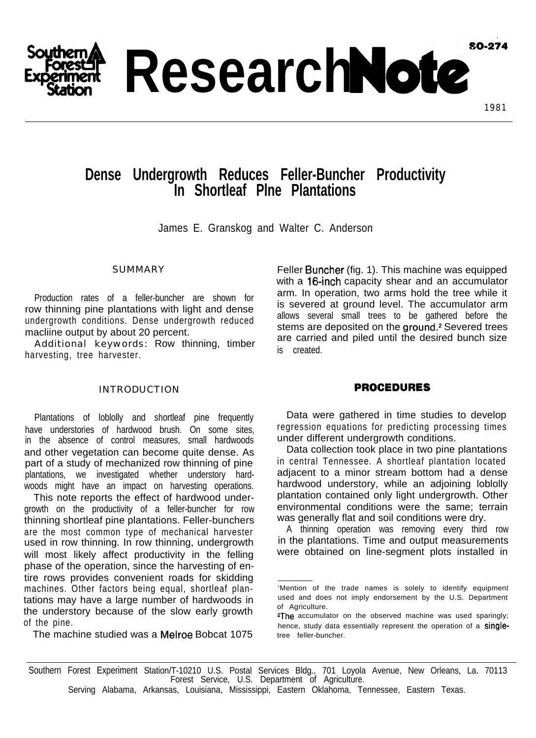**SO-274** 

**Research Note** 

# **Dense Undergrowth Reduces Feller-Buncher Productivity In Shortleaf Plne Plantations**

James E. Granskog and Walter C. Anderson

## **SUMMARY**

Production rates of a feller-buncher are shown for row thinning pine plantations with light and dense undergrowth conditions. Dense undergrowth reduced macliine output by about 20 percent.

Additional keywords: Row thinning, timber harvesting, tree harvester.

#### INTRODUCTION

Plantations of loblolly and shortleaf pine frequently have understories of hardwood brush. On some sites, in the absence of control measures, small hardwoods and other vegetation can become quite dense. As part of a study of mechanized row thinning of pine plantations, we investigated whether understory hardwoods might have an impact on harvesting operations.

This note reports the effect of hardwood undergrowth on the productivity of a feller-buncher for row thinning shortleaf pine plantations. Feller-bunchers are the most common type of mechanical harvester used in row thinning. In row thinning, undergrowth will most likely affect productivity in the felling phase of the operation, since the harvesting of entire rows provides convenient roads for skidding machines. Other factors being equal, shortleaf plantations may have a large number of hardwoods in the understory because of the slow early growth of the pine.

The machine studied was a Melroe Bobcat 1075

Feller Buncher (fig. 1). This machine was equipped with a 16-inch capacity shear and an accumulator arm. In operation, two arms hold the tree while it is severed at ground level. The accumulator arm allows several small trees to be gathered before the stems are deposited on the ground.<sup>2</sup> Severed trees are carried and piled until the desired bunch size is created.

## **PROCEDURES**

Data were gathered in time studies to develop regression equations for predicting processing times under different undergrowth conditions.

Data collection took place in two pine plantations in central Tennessee. A shortleaf plantation located adjacent to a minor stream bottom had a dense hardwood understory, while an adjoining loblolly plantation contained only light undergrowth. Other environmental conditions were the same; terrain was generally flat and soil conditions were dry.

A thinning operation was removing every third row in the plantations. Time and output measurements were obtained on line-segment plots installed in

<sup>&#</sup>x27;Mention of the trade names is solely to identify equipment used and does not imply endorsement by the U.S. Department of Agriculture.

<sup>&</sup>lt;sup>2</sup>The accumulator on the observed machine was used sparingly; hence, study data essentially represent the operation of a singletree feller-buncher.

Southern Forest Experiment Station/T-10210 U.S. Postal Services Bldg., 701 Loyola Avenue, New Orleans, La. 70113 Forest Service, U.S. Department of Agriculture.

Serving Alabama, Arkansas, Louisiana, Mississippi, Eastern Oklahoma, Tennessee, Eastern Texas.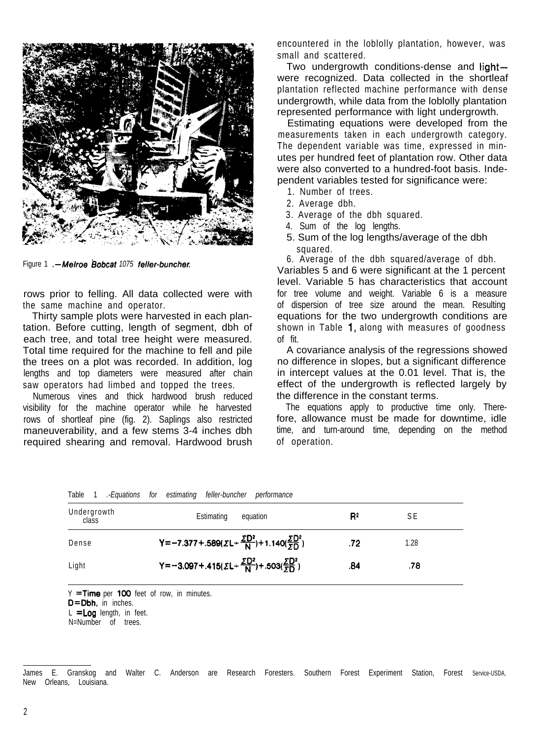

Figure 1 *.-Melroe Bobcat* 1075 feller-buncher.

rows prior to felling. All data collected were with the same machine and operator.

Thirty sample plots were harvested in each plantation. Before cutting, length of segment, dbh of each tree, and total tree height were measured. Total time required for the machine to fell and pile the trees on a plot was recorded. In addition, log lengths and top diameters were measured after chain saw operators had limbed and topped the trees.

Numerous vines and thick hardwood brush reduced visibility for the machine operator while he harvested rows of shortleaf pine (fig. 2). Saplings also restricted maneuverability, and a few stems 3-4 inches dbh required shearing and removal. Hardwood brush

encountered in the loblolly plantation, however, was small and scattered.

Two undergrowth conditions-dense and lightwere recognized. Data collected in the shortleaf plantation reflected machine performance with dense undergrowth, while data from the loblolly plantation represented performance with light undergrowth.

Estimating equations were developed from the measurements taken in each undergrowth category. The dependent variable was time, expressed in minutes per hundred feet of plantation row. Other data were also converted to a hundred-foot basis. Independent variables tested for significance were:

- 1. Number of trees.
- 2. Average dbh.
- 3. Average of the dbh squared.
- 4. Sum of the log lengths.
- 5. Sum of the log lengths/average of the dbh squared.

6. Average of the dbh squared/average of dbh.

Variables 5 and 6 were significant at the 1 percent level. Variable 5 has characteristics that account for tree volume and weight. Variable 6 is a measure of dispersion of tree size around the mean. Resulting equations for the two undergrowth conditions are shown in Table 1, along with measures of goodness of fit.

A covariance analysis of the regressions showed no difference in slopes, but a significant difference in intercept values at the 0.01 level. That is, the effect of the undergrowth is reflected largely by the difference in the constant terms.

The equations apply to productive time only. Therefore, allowance must be made for downtime, idle time, and turn-around time, depending on the method of operation.

| lable                | -Equations tor. | estimating teller-buncher<br>pertormance                                             |                |      |  |
|----------------------|-----------------|--------------------------------------------------------------------------------------|----------------|------|--|
| Undergrowth<br>class |                 | Estimating<br>equation                                                               | R <sup>2</sup> | S E  |  |
| Dense                |                 | Y=-7.377+.589( $\Sigma$ L+ $\frac{\Sigma D^2}{N}$ )+1.140( $\frac{\Sigma D^2}{5D}$ ) | .72            | 1.28 |  |
| Light                |                 | Y=-3.097+.415( $\Sigma L + \frac{\Sigma D^2}{N}$ )+.503( $\frac{\Sigma D^2}{5D}$ )   | .84            | .78  |  |

 $Y = Time$  per 100 feet of row, in minutes.

D=Dbh, in inches.

 $L =$  Log length, in feet.

N=Number of trees.

James E. Granskog and Walter C. Anderson are Research Foresters. Southern Forest Experiment Station, Forest Service-USDA, New Orleans, Louisiana.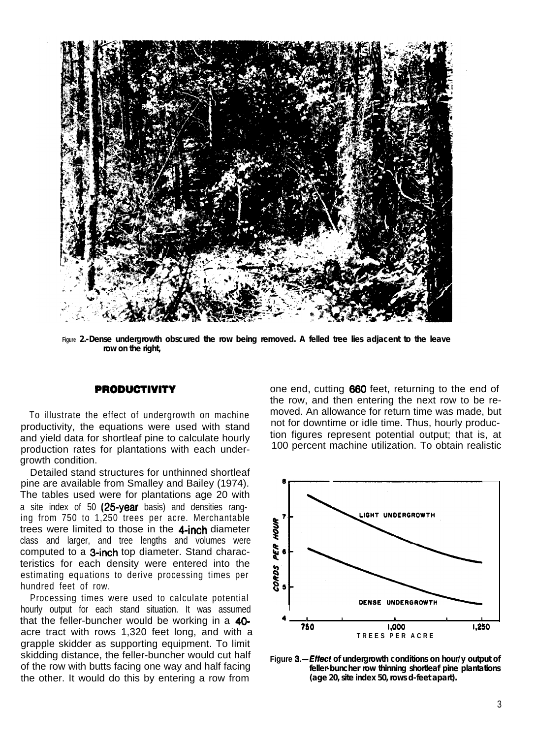

**Figure** *2.-Dense undergrowth obscured the row being removed. A felled tree lies adjacent to the leave row on the right,*

#### **PRODUCTIVITY**

To illustrate the effect of undergrowth on machine productivity, the equations were used with stand and yield data for shortleaf pine to calculate hourly production rates for plantations with each undergrowth condition.

Detailed stand structures for unthinned shortleaf pine are available from Smalley and Bailey (1974). The tables used were for plantations age 20 with a site index of 50 (25-year basis) and densities ranging from 750 to 1,250 trees per acre. Merchantable trees were limited to those in the 4-inch diameter class and larger, and tree lengths and volumes were computed to a 3-inch top diameter. Stand characteristics for each density were entered into the estimating equations to derive processing times per hundred feet of row.

Processing times were used to calculate potential hourly output for each stand situation. It was assumed that the feller-buncher would be working in a 40 acre tract with rows 1,320 feet long, and with a grapple skidder as supporting equipment. To limit skidding distance, the feller-buncher would cut half of the row with butts facing one way and half facing the other. It would do this by entering a row from

one end, cutting 660 feet, returning to the end of the row, and then entering the next row to be removed. An allowance for return time was made, but not for downtime or idle time. Thus, hourly production figures represent potential output; that is, at 100 percent machine utilization. To obtain realistic



**Figure** *&--Effect of undergrowth conditions on hour/y output of feller-buncher row thinning shortleaf pine plantations (age 20, site index 50, rows d-feet apart).*